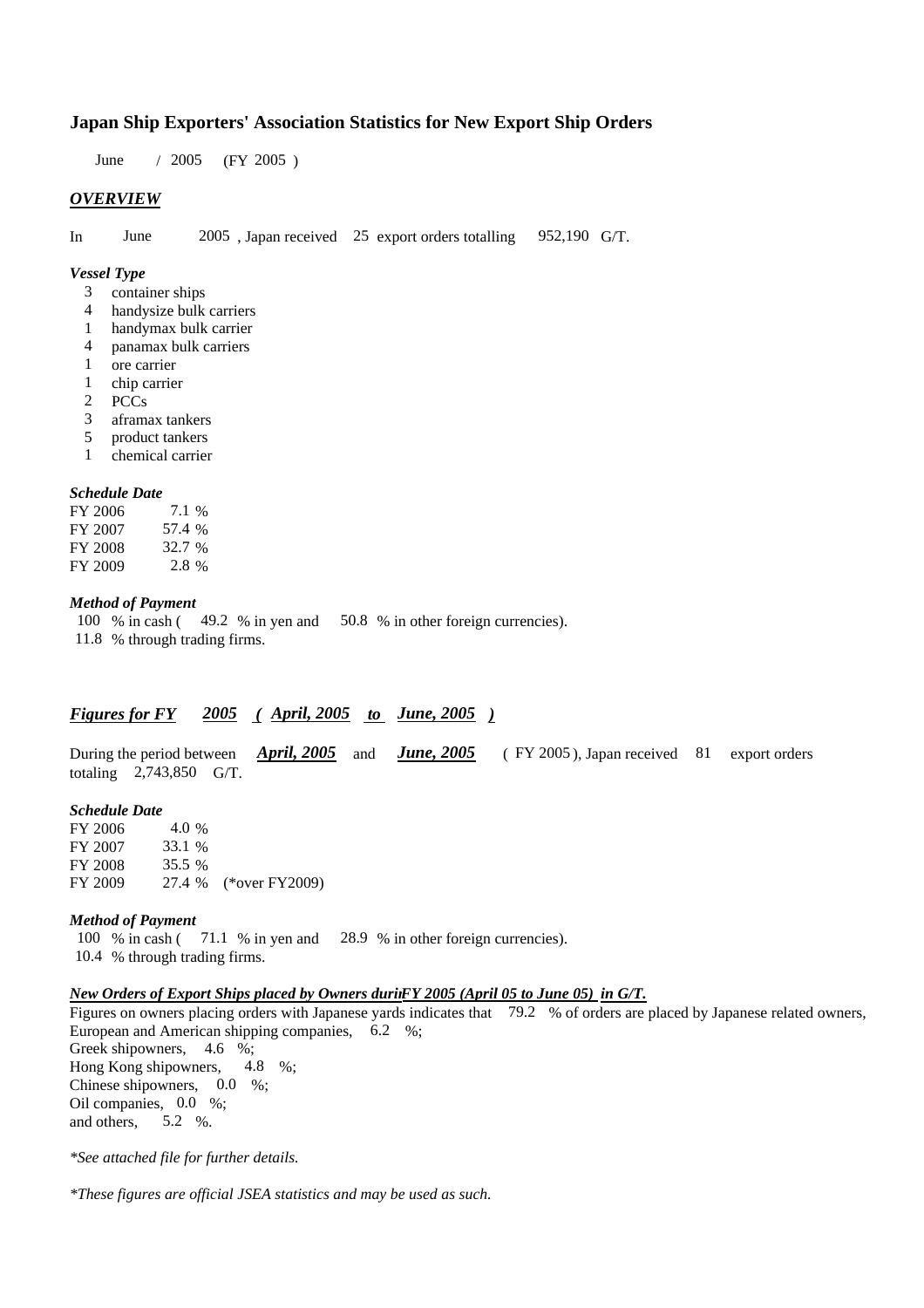# **Japan Ship Exporters' Association Statistics for New Export Ship Orders**

June / 2005 (FY 2005 )

## *OVERVIEW*

In June 2005 , Japan received 25 export orders totalling 952,190 G/T.

### *Vessel Type*

- 3 container ships
- 4 handysize bulk carriers
- 1 handymax bulk carrier
- 4 panamax bulk carriers
- 1 ore carrier
- 1 chip carrier
- 2 PCCs
- 3 aframax tankers
- 5 product tankers
- 1 chemical carrier

### *Schedule Date*

| FY 2006 | 7.1 %  |
|---------|--------|
| FY 2007 | 57.4 % |
| FY 2008 | 32.7 % |
| FY 2009 | 2.8 %  |

# *Method of Payment*

100 % in cash ( 49.2 % in yen and 50.8 % in other foreign currencies). 11.8 % through trading firms.

# *Figures for FY 2005 ( April, 2005 to June, 2005 )*

During the period between *April, 2005* and *June, 2005* ( FY 2005 ), Japan received 81 export orders totaling 2,743,850 G/T.

### *Schedule Date*

FY 2006 4.0 % FY 2007 33.1 % FY 2008 35.5 % FY 2009 27.4 % (\*over FY2009)

#### *Method of Payment*

100 % in cash ( 71.1 % in yen and 28.9 % in other foreign currencies). 10.4 % through trading firms.

### *n New Orders of Export Ships placed by Owners duri FY 2005 (April 05 to June 05) in G/T.*

Figures on owners placing orders with Japanese yards indicates that 79.2 % of orders are placed by Japanese related owners, European and American shipping companies, 6.2 %; Greek shipowners, 4.6 %; Hong Kong shipowners, 4.8 %; Chinese shipowners, 0.0 %; Oil companies, 0.0 %; and others, 5.2 %.

*\*See attached file for further details.*

*\*These figures are official JSEA statistics and may be used as such.*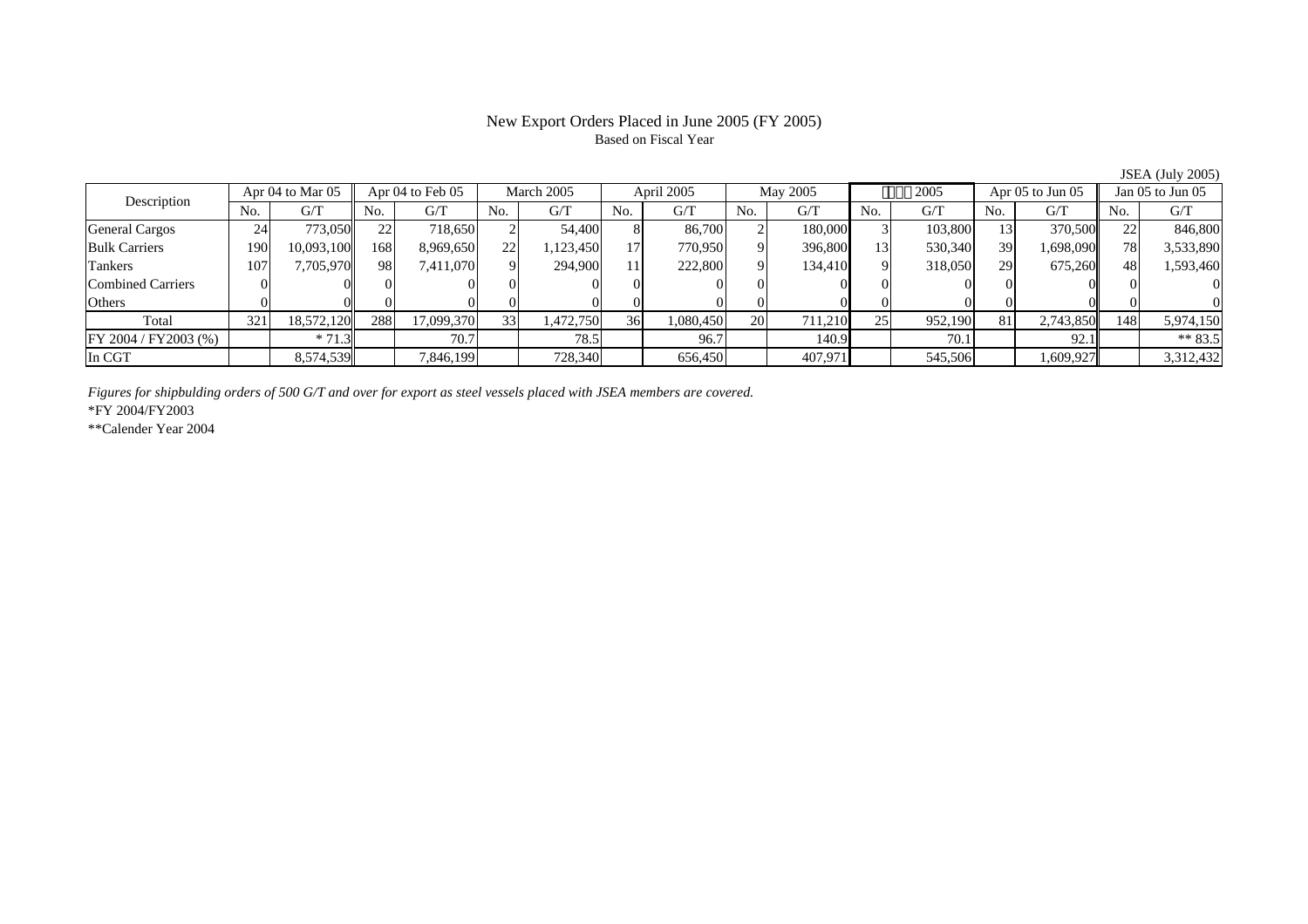# Based on Fiscal Year

Description Apr 04 to Mar 05 Apr 04 to Feb 05 March 2005 April 2005 May 2005 2005 Apr 05 to Jun 05 Jan 05 to Jun 05 No. $No.$   $G/T$ T || No. | G/T || No. | G/T || No. | G/T || No. | G/T || G/T || No. | G/T || No. | G/T || No. | G/T General Cargos | 24 | 773,050|| 22 | 718,650 | 2 | 54,400 | 8 | 86,700 | 2 | 180,000 | 3 | 103,800 | 13 | 370,500 || 22 | 846,800 Bulk Carriers 1900| 10,093,100|| 168| 8,969,650| 22| 1,123,450| 17| 770,950| 9| 396,800| 13| 530,340| 39| 1,698,090|| 78| 3,533,890 Tankers 1077| 7,705,970|| 98| 7,411,070| 9| 294,900| 11| 222,800| 9| 134,410| 9| 318,050| 29| 675,260|| 48| 1,593,460 Combined Carriers 1 0 0 0 0 0 0 0 0 0 0 0 0 0 0 0 0 **Others** s and  $\vert 0$  0 0 0 0 0 0 0 0 0 0 0 0 0 0 0 Total 321 18,572,120 288 17,099,370 33 1,472,750 36 1,080,450 20 711,210 25 952,190 81 2,743,850 148 5,974,150 FY 2004 / FY 2003 (%) \* 71.3 70.7 70.7 78.5 96.7 140.9 70.1 70.1 92.1 \*\* 83.5 In CGT8,574,539 7,846,199 728,340 656,450 407,971 545,506 1,609,927 3,312,432

*Figures for shipbulding orders of 500 G/T and over for export as steel vessels placed with JSEA members are covered.*

\*FY 2004/FY2003

\*\*Calender Year 2004

JSEA (July 2005)

# New Export Orders Placed in June 2005 (FY 2005)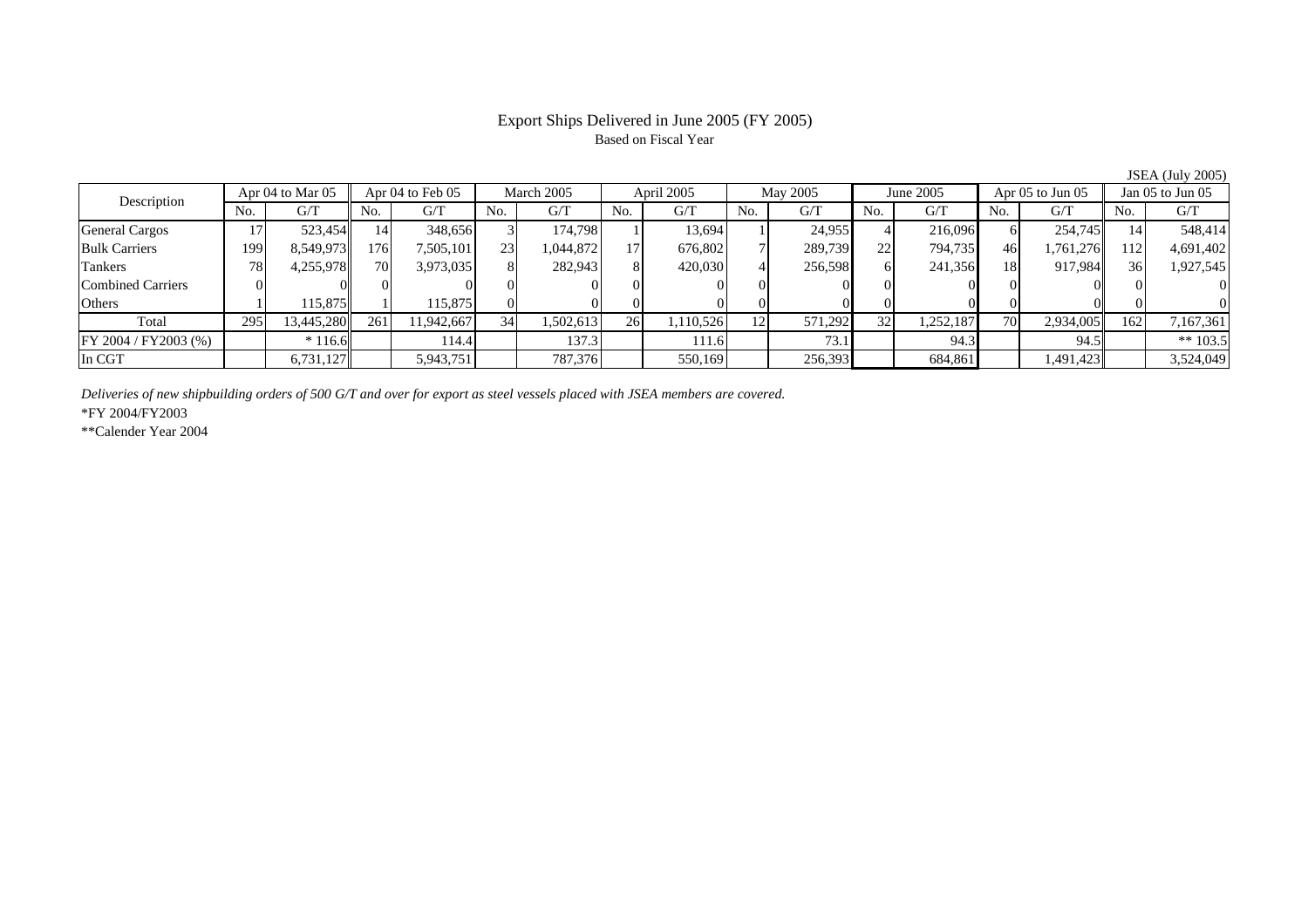# Based on Fiscal Year

Description Apr 04 to Mar 05 Apr 04 to Feb 05 March 2005 April 2005 May 2005 June 2005 Apr 05 to Jun 05 Jan 05 to Jun 05 No.No.  $G/T$ T || No. | G/T || No. | G/T || No. | G/T || No. | G/T || G/T || No. | G/T || No. | G/T || No. | G/T General Cargos 17 523,454 14 348,656 3 174,798 1 13,694 1 24,955 4 216,096 6 254,745 14 548,414 Bulk Carriers 1999| 8,549,973|| 176| 7,505,101| 23| 1,044,872| 17| 676,802| 7| 289,739| 22| 794,735| 46| 1,761,276|| 112| 4,691,402 Tankers 788| 4,255,978|| 70| 3,973,035| 8| 282,943| 8| 420,030| 4| 256,598| 6| 241,356| 18| 917,984|| 36| 1,927,545 Combined Carriers 0 0 0 0 0 0 0 0 0 0 0 0 0 0 0 0 **Others** s and  $1$  115,875 1 115,875 0 0 0 0 0 0 0 0 0 0 0 0 Total 295 13,445,280 261 11,942,667 34 1,502,613 26 1,110,526 12 571,292 32 1,252,187 70 2,934,005 162 7,167,361 FY 2004 / FY2003 (%) \* 116.6 114.4 137.3 111.6 73.1 94.3 94.5 \*\* 103.5 In CGTT | 6,731,127 | 5,943,751 | 787,376 | 550,169 | 256,393 | 684,861 | 1,491,423 | 3,524,049

*Deliveries of new shipbuilding orders of 500 G/T and over for export as steel vessels placed with JSEA members are covered.*

\*FY 2004/FY2003

\*\*Calender Year 2004

JSEA (July 2005)

# Export Ships Delivered in June 2005 (FY 2005)